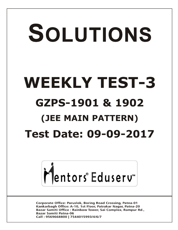# SOLUTIONS **WEEKLY TEST-3 GZPS-1901 & 1902 (JEE MAIN PATTERN) Test Date: 09-09-2017**



**Corporate Office: Paruslok, Boring Road Crossing, Patna-01** Kankarbagh Office: A-10, 1st Floor, Patrakar Nagar, Patna-20 Bazar Samiti Office: Rainbow Tower, Sai Complex, Rampur Rd., **Bazar Samiti Patna-06** Call: 9569668800 | 7544015993/4/6/7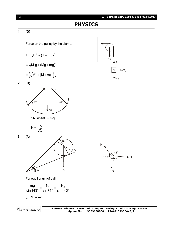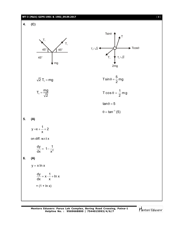## **WT-3 (Main) GZPS-1901 & 1902\_09.09.2017** [ **3** ]

**4. (C)**





 $\overline{2}$  T<sub>1</sub> = mg 1  $\overline{2}$  T sin  $\theta = \frac{5}{2}$  mg

$$
T_1=\frac{mg}{\sqrt{2}}
$$

T cos  $\theta = \frac{1}{6}$  mg 2

2

 $tan \theta = 5$ 

$$
\theta = \tan^{-1}(5)
$$

# **5. (A)**

 $y = x + \frac{1}{x} + 2$ x

on diff. w.r.t x

$$
\frac{dy}{dx} = 1 - \frac{1}{x^2}
$$

# **6. (A)**

$$
y = x \ln x
$$

$$
\frac{dy}{dx} = x \cdot \frac{1}{x} + \ln x
$$

$$
= (1 + \ln x)
$$

Mentors Eduserv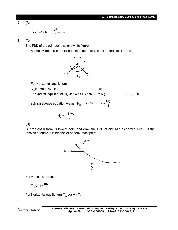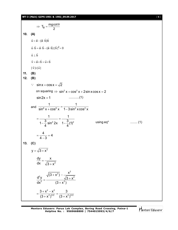#### **WT-3 (Main) GZPS-1901 & 1902\_09.09.2017** [ **5** ]

 $T_B = \frac{mg \cot \theta}{2}$ 2  $\Rightarrow$  T<sub>B</sub> =  $\frac{mgcot \theta}{2}$ **10. (A)**  $\vec{u} = \vec{a} - (\vec{a} \cdot \vec{b})\vec{b}$  $\vec{u} \cdot \vec{b} = \vec{a} \cdot \vec{b} - (\vec{a} \cdot \vec{b}) \mid \vec{b} \mid^2 = 0$  $\vec{u} \perp \vec{b}$  $\vec{v} = \vec{a} \times \vec{b} = \vec{u} \times \vec{b}$  $|\vec{v}| = |\vec{u}|$ **11. (B) 12. (B)**  $\therefore$  sin x + cos x =  $\sqrt{2}$ on squaring  $\Rightarrow$   $\sin^2 x + \cos^2 x + 2\sin x \cos x = 2$ sin2x 1 ............(1) and  $\frac{1}{\sin^6 x + \cos^6 x} = \frac{1}{1-3\sin^2 x \cos^2 x}$ 1 1  $\sin^6 x + \cos^6 x$  1-3sin<sup>2</sup> xcos<sup>2</sup> x  $=\frac{1}{2}$  = - $-\frac{3}{4}$  sin<sup>2</sup> 2x  $1-\frac{3}{4}(1)^2$ 1 1  $1 - \frac{3}{4} \sin^2 2x \quad 1 - \frac{3}{4}$ (1)  $4 \t\t 4$ using  $eq<sup>n</sup>$ ........ (1)  $=\frac{1}{2}$  = 4 - $\frac{4}{\sqrt{2}} = 4$  $4 - 3$ **13. (C)**  $y = \sqrt{3} + x^2$  $=$  $+ x^2$ dy x dx  $\sqrt{3} + x^2$  $+ x<sup>2</sup>$ ) – - $=\frac{\sqrt{3}+}{\sqrt{3}+2}$  $\ddag$  $\overline{z_1}$   $x^2$  $2V \times 2 \times 2$ 2  $(2 + v^2)$  $\overline{(3+x^2)} - \frac{x}{\sqrt{3-x^2}}$  $\frac{d^2y}{dx^2} - \frac{1}{2} \frac{\sqrt{3} + x^2}{2}$ dx<sup>2</sup>  $(3 + x^2)$  $=\frac{3+x^2-x^2}{(2-x^2)^{3/2}}= (x + x^2)^{3/2}$   $(3 + x)$ 2  $\sqrt{2}$  $2\frac{3}{2}$   $(2 + \sqrt{2})^{3/2}$  $3 + x^2 - x^2$  3  $(3+x^2)^{3/2}$   $(3+x^2)^{3/2}$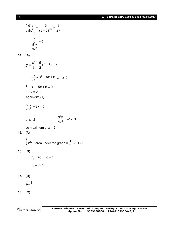[ **6** ] **WT-3 (Main) GZPS-1901 & 1902\_09.09.2017**

$$
\left(\frac{d^2y}{dx^2}\right) = \frac{3}{(3+6)^{3/2}} = \frac{3}{27}
$$
\n
$$
\frac{1}{\frac{d^2y}{dx^2}} = 9
$$
\n14. (A)\n
$$
y = \frac{x^3}{3} - \frac{5}{2}x^2 + 6x + 4
$$
\n
$$
\frac{dy}{dx} = x^2 - 5x + 6
$$
 ......(1)\nif  $x^2 - 5x + 6 = 0$   
\n $x = 2, 3$   
\nAgain diff. (1)\n
$$
\frac{d^2y}{dx^2} = 2x - 5
$$
\nat  $x = 2$ \n
$$
\frac{d^2y}{dx^2} = -1 < 0
$$
\nso maximum at  $x = 2$ .\n15. (A)\n
$$
\int_{1}^{2} ydx = \text{area under the graph} = \frac{1}{2} \times 2 \times 1 = 1
$$
\n16. (D)\n
$$
T_1 - 50 - 40 = 0
$$
\n
$$
T_1 = 90N
$$
\n17. (D)\n
$$
\theta = \frac{\phi}{2}
$$
\n18. (C)\n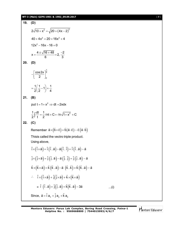# **WT-3 (Main) GZPS-1901 & 1902\_09.09.2017** [ **7** ]

19. (D)  
\n
$$
2\sqrt{10+x^2} = \sqrt{20 + (4x-2)^2}
$$
\n
$$
40 + 4x^2 = 20 + 16x^2 + 4
$$
\n
$$
12x^2 - 16x - 16 = 0
$$
\n
$$
x = \frac{4 \pm \sqrt{16 + 48}}{6} = 2, \frac{-2}{3}
$$
\n20. (D)  
\n
$$
-\left[\frac{\cos 2x}{2}\right]_0^{\frac{\pi}{6}}
$$
\n
$$
= \frac{1}{2}(\frac{1}{2}-1) = \frac{1}{4}
$$
\n21. (B)  
\nput  $t = 1 + x^2 \Rightarrow dt = 2x dx$   
\n
$$
\frac{1}{2} \int \frac{dt}{t} = \frac{1}{2} \ln t + C = \ln \sqrt{1 + x^2} + C
$$
\n22. (C)  
\nRemember  $\vec{a} \times (\vec{b} \times \vec{c}) = \vec{b} (\vec{a} \cdot \vec{c}) - \vec{c} (\vec{a} \cdot \vec{b})$   
\nThis is called the vector triple product.  
\nUsing above,  
\n $\hat{i} \times (\hat{i} \times \vec{a}) = \hat{i} (\hat{i} \cdot \vec{a}) - \hat{a} (\hat{i} \cdot \hat{i}) = \hat{i} (\hat{i} \cdot \vec{a}) - \vec{a}$   
\n $\hat{j} \times (\hat{j} \times \vec{a}) = \hat{j} (\hat{j} \cdot \vec{a}) - \vec{a} (\hat{j} \cdot \hat{j}) = \hat{j} (\hat{j} \cdot \vec{a}) - \vec{a}$   
\n $\hat{k} \times (\hat{k} \times \vec{a}) = \hat{k} (\hat{k} \cdot \vec{a}) - \vec{a} (\hat{k} \cdot \hat{k}) = \hat{k} (\hat{k} \cdot \vec{a}) - \vec{a}$   
\n $\therefore \quad \hat{i} \times (\hat{i} \times \vec{a}) + \hat{j} (\hat{j} \times \vec{a}) + \hat{k} \times (\hat{k} \times \vec{a})$   
\n $= \hat{i} (\hat{i} \cdot \vec{a}) + \hat{j} (\hat{j} \cdot \vec{a}) + \hat{k} (\hat{k} \cdot \vec{a}) - 3\vec{a}$ ...(i)  
\nSince,  $\vec$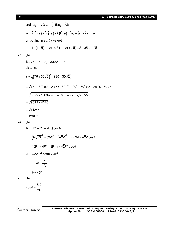| 8 <sup>1</sup> | <b>WT-3 (Main) GZPS-1901</b>                                                                                                                                          |
|----------------|-----------------------------------------------------------------------------------------------------------------------------------------------------------------------|
|                | and $a_x = \hat{i} \cdot \vec{a}$ ; $a_y = \hat{j} \cdot \vec{a}$ ; $a_z = \hat{k} \cdot \vec{a}$                                                                     |
|                | $\therefore \quad \hat{i}(\hat{i} \times \hat{a}) + \hat{j}(\hat{j} \cdot \hat{a}) + \hat{k}(\hat{k} \cdot \hat{a}) = \hat{i}a_x + \hat{j}a_y + \hat{k}a_z = \hat{a}$ |
|                | on putting in eq. (i) we get                                                                                                                                          |
|                | $\hat{i} \times (\hat{i} \times \vec{a}) + \hat{j} \times (\hat{j} \times \vec{a}) + \hat{k} \times (\hat{k} \times \vec{a}) = \vec{a} - 3\vec{a} = -2\vec{a}$        |
| 23.            | (A)                                                                                                                                                                   |
|                | $\vec{s} = 75\hat{i} + 30\sqrt{2}\hat{i} - 30\sqrt{2}\hat{i} + 20\hat{i}$                                                                                             |
|                | distance,                                                                                                                                                             |
|                | $s = \sqrt{(75+30\sqrt{2})^2 + (20-30\sqrt{2})^2}$                                                                                                                    |
|                | $=\sqrt{75^2+30^2 \times 2+2 \times 75 \times 30 \sqrt{2}+20^2+30^2 \times 2-2 \times 20 \times 30 \sqrt{2}}$                                                         |
|                | $=\sqrt{5625+1800+400+1800+2\times30\sqrt{2}\times55}$                                                                                                                |
|                | $=\sqrt{9625}+4620$                                                                                                                                                   |
|                | $=\sqrt{14245}$                                                                                                                                                       |
|                | $=120$ km                                                                                                                                                             |
| 24.            | (A)                                                                                                                                                                   |
|                | $R^2 = P^2 + Q^2 + 2PQ\cos\theta$                                                                                                                                     |
|                | $(P\sqrt{10})^2 = (2P)^2 + (\sqrt{2}P)^2 + 2 \times 2P \times \sqrt{2}P \cos \theta$                                                                                  |
|                | $10P^2 = 4P^2 + 2P^2 + 4\sqrt{2}P^2 \cos \theta$                                                                                                                      |
|                | or $4\sqrt{2}P^2 \cos\theta = 4P^2$                                                                                                                                   |
|                | $\cos \theta = \frac{1}{\sqrt{2}}$                                                                                                                                    |
|                | $\theta = 45^{\circ}$                                                                                                                                                 |
| 25.            | (A)                                                                                                                                                                   |
|                | $\cos \theta = \frac{\vec{A} \cdot \vec{B}}{AB}$                                                                                                                      |

Mentors<sup>e</sup> Eduserv<sup>-</sup>

[ **8** ] **WT-3 (Main) GZPS-1901 & 1902\_09.09.2017**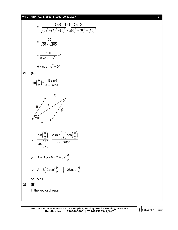# **WT-3 (Main) GZPS-1901 & 1902\_09.09.2017** [ **9** ]

$$
= \frac{3 \times 6 + 4 \times 8 + 5 \times 10}{\sqrt{(3)^2 + (4)^2 + (5)^2} \times \sqrt{(6)^2 + (8)^2 + (10)^2}}
$$
\n
$$
= \frac{100}{\sqrt{50} \times \sqrt{200}}
$$
\n
$$
= \frac{100}{5\sqrt{2} \times 10\sqrt{2}} = 1
$$
\n
$$
\theta = \cos^{-1} \sqrt{1} = 0^{\circ}
$$
\n26. (C)\n
$$
\tan\left(\frac{\theta}{2}\right) = \frac{B \sin \theta}{A + B \cos \theta}
$$
\n
$$
\frac{\pi}{B}
$$
\n
$$
\frac{\sin\left(\frac{\theta}{2}\right)}{\pi}
$$
\nor\n
$$
\frac{\sin\left(\frac{\theta}{2}\right)}{\cos\left(\frac{\theta}{2}\right)} = \frac{2B \sin\left(\frac{\theta}{2}\right) \cos\left(\frac{\theta}{2}\right)}{A + B \cos \theta}
$$
\nor\n
$$
A + B \cos \theta = 2B \cos^2 \frac{\theta}{2}
$$
\nor\n
$$
A + B \left(2 \cos^2 \frac{\theta}{2} - 1\right) = 2B \cos^2 \frac{\theta}{2}
$$
\nor\n
$$
A = B
$$
\n27. (B)\nIn the vector diagram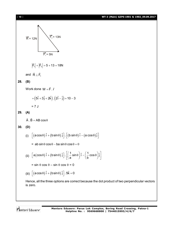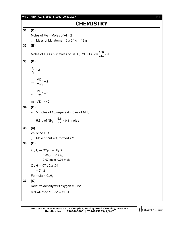**WT-3 (Main) GZPS-1901 & 1902\_09.09.2017** [ **11** ]

# **CHEMISTRY**

**31. (C)** Moles of  $Mg =$ Moles of Al = 2  $\therefore$  Mass of Mg atoms = 2 x 24 g = 48 g **32. (B)** Moles of H<sub>2</sub>O = 2 x moles of BaCl<sub>2</sub> . 2H<sub>2</sub>O = 2 ×  $\frac{488}{244}$  = 4 **33. (B)** A B  $\frac{d_A}{d_B} = 2$  $\Rightarrow \frac{\mathsf{v}.\mathsf{v}}{\mathsf{V}\mathsf{D}}$ B  $\frac{\mathsf{V.D}_\mathsf{A}}{\mathsf{V.D}_\mathsf{B}} = 2$  $\therefore \quad \frac{\text{V.D}_\text{A}}{20} = 2$  $\implies$  V.D<sub>A</sub> = 40 **34. (D)**  $\cdot$  5 moles of O<sub>2</sub> require 4 moles of NH<sub>3</sub> ∴ 6.8 g of NH<sub>3</sub> =  $\frac{6.8}{17}$  = 0.4 moles **35. (A)** Zn is the L.R.  $\therefore$  Mole of ZnFeS<sub>2</sub> formed = 2 **36. (C)**  $\mathrm{C}_{\mathsf{x}}\mathrm{H}_{\mathsf{y}} \rightarrow \mathrm{CO}_{2}$  +  $\mathrm{H}_{2}\mathrm{O}$  3.08g 0.72g 0.07 mole 0.04 mole  $C : H = .07 : 2 \times .04$  $= 7 : 8$ Formula =  $C_7H_8$ **37. (C)** Relative density w.r.t oxygen = 2.22 Mol wt. =  $32 \times 2.22 = 71.04$ .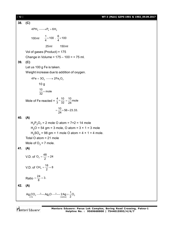[ **12** ] **WT-3 (Main) GZPS-1901 & 1902\_09.09.2017 38. (C)**  $4PH_3 \longrightarrow P_4 + 6H_2$ 100ml  $\frac{1}{4}$  × 100  $\cdot \frac{6}{4}$  × 100 25ml 150ml Vol of gases (Product) = 175 Change in Volume =  $175 - 100 = + 75$  ml. **39. (C)** Let us 100 g Fe is taken. Weight increase due to addition of oxygen.  $4Fe + 3O<sub>2</sub> \longrightarrow 2Fe<sub>2</sub>O<sub>3</sub>$  10 g  $\frac{10}{32}$  × mole Mole of Fe reacted =  $\frac{4}{3} \times \frac{10}{32} = \frac{10}{24}$ mole  $=\frac{10}{24} \times 56 = 23.33.$ **40. (A)**  $H_2P_2O_7$  = 2 mole O atom = 7×2 = 14 mole  $H_2O = 54$  gm = 3 mole, O atom =  $3 \times 1 = 3$  mole  $H<sub>2</sub>SO<sub>4</sub>$  = 98 gm = 1 mole O atom = 4  $\times$  1 = 4 mole. Total O atom = 21 mole Mole of  $O_3 = 7$  mole. **41. (A)** V.D. of  $O_3 = \frac{48}{2} = 24$ V.D. of CH<sub>4</sub> =  $\frac{16}{2}$  = 8 Ratio =  $\frac{24}{8}$  = 3. **42. (A)**  $2^{200}$ <sub>3</sub>  $7 \cdot 9$ <sub>2</sub>  $7 \cdot 2$  $(276)$   $2^{2}$  $\mathsf{Ag}_2\mathrm{CO}_3 \xrightarrow{\phantom{a}\Delta\phantom{}} \mathsf{Ag}_2\mathrm{O} \xrightarrow{\phantom{a}\Delta\phantom{}} 2\mathsf{Ag} + \frac{1}{2}\mathrm{O}$  $\stackrel{\Delta}{\longrightarrow}$  Ag<sub>2</sub>O  $\stackrel{\Delta}{\longrightarrow}$  2Ag +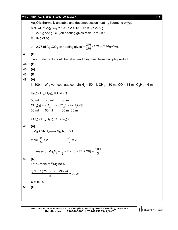### **WT-3 (Main) GZPS-1901 & 1902\_09.09.2017** [ **13** ]

 $Ag<sub>2</sub>O$  is thermally unstable and decomposes on heating liberating oxygen. Mol. wt. of Ag $_2$ CO $_3$  = 108 × 2 + 12 + 16 × 3 = 276 g  $\therefore$  276 g of Ag<sub>2</sub>CO<sub>3</sub> on heating gives residue = 2 × 108 = 216 g of Ag ∴ 2.76 of Ag<sub>2</sub>CO<sub>3</sub> on heating gives  $=\frac{216}{276} \times 2.76 = 2.16$ gof Ag. **43. (D)** Two fix element should be taken and they must form multiple product. **44. (C) 45. (A) 46. (B) 47. (A)** In 100 ml of given coal gas contain H<sub>2</sub> = 50 ml, CH<sub>4</sub> = 30 ml, CO = 14 ml, C<sub>2</sub>H<sub>4</sub> = 6 ml  $H_2(g) + \frac{1}{2}O_2(g) = H_2O(\ell)$ 50 ml 25 ml 50 ml  $CH_4(g) + 2O_2(g) = CO_2(g) + 2H_2O(\ell)$ 30 ml 60 ml 30 ml 60 ml  $CO(g) + \frac{1}{2}O_2(g) = CO_2(g)$ **48. (A)**  $3\text{Mg} + 2\text{NH}_3 \longrightarrow \text{Mg}_3\text{N}_2 + 3\text{H}_2$ mole  $\frac{48}{24}$  = 2  $\frac{34}{17}$  = 2  $\therefore$  mass of Mg<sub>3</sub>N<sub>2</sub> = 1  $\frac{1}{3}$  × 2 × (3 × 24 + 28) = 200 3 **49. (C)** Let % mole of <sup>26</sup>Mg be X 100  $(21 - X)25 + 26x + 79 \times 24$ = 24.31  $X = 10 \%$ **50. (C)**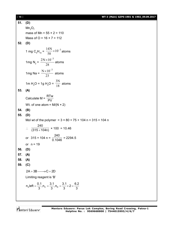| i 14 i | WT-3 (Main) GZPS-1901 & 1902 09.09.2017 |  |
|--------|-----------------------------------------|--|
|--------|-----------------------------------------|--|

**51. (D)**  $Mn<sub>2</sub>O<sub>7</sub>$ mass of Mn =  $55 \times 2 = 110$ Mass of  $O = 16 \times 7 = 112$ **52. (D)** 1 mg C<sub>4</sub>H<sub>10</sub> =  $\frac{141N}{58} \times 10^{-3}$ 58  $\frac{14N}{58}$  × 10<sup>-3</sup> atoms 1mg  $N_2 =$ 28  $\frac{2N\times10^{-3}}{20}$  atoms 1mg  $Na =$ 23  $\frac{N \times 10^{-3}}{22}$  atoms 1m H<sub>2</sub>O = 1g H<sub>2</sub>O =  $\frac{1}{18}$ 3N atoms **53. (A)** Calculate M = RTw PV Wt. of one atom =  $M/(N \times 2)$ **54. (B) 55. (D)** Mol wt of the polymer =  $3 \times 80 + 75 + 104$  n =  $315 + 104$  n  $\therefore$ 240  $\overline{(315+104n)}$  × 100 = 10.46 or 315 + 104 n = 240  $\frac{10}{0.1046}$  = 2294.5 or  $n = 19$ **56. (D) 57. (A) 58. (A) 59. (C)**  $2A + 3B \longrightarrow C + 2D$ Limiting reagent is 'B'  $n_A$  left =  $\frac{0.1}{2}$ ,  $n_C = \frac{3.1}{2}$ ,  $n_D = \frac{3.1}{2} \times 2 = \frac{6.2}{2}$  $3'$   $3'$   $3$   $3$   $3$  $=\frac{3!}{2!}$ ,  $n_c = \frac{3!}{2!}$ ,  $n_p = \frac{3!}{2!} \times 2 = \frac{3!}{2!}$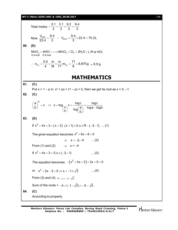## **WT-3 (Main) GZPS-1901 & 1902\_09.09.2017** [ **15** ]

Total moles = 
$$
\frac{0.1}{3} + \frac{3.1}{3} + \frac{6.2}{3} = \frac{9.4}{3}
$$
  
\nNow,  $\frac{V_{NFP}}{22.4} = \frac{9.4}{3}$   $\therefore$   $V_{NFP} = \frac{9.4}{3} \times 22.4 = 70.2L$   
\n60. (D)  
\nMnO<sub>2</sub> + 4HCl $\longrightarrow$  MnCl<sub>2</sub> + Cl<sub>2</sub> + 2H<sub>2</sub>O; L.R is HCl.  
\n61. (D)  
\n $\therefore n_{C1} = \frac{0.5}{4} = \frac{m}{M} = \frac{m}{71}, m_{C12} = \frac{71}{8} = 8.875g \approx 8.9g$   
\n**MATHEMATICS**  
\n61. (C)  
\nPut x = 1 - p in x<sup>2</sup> + px + (1 - p) = 0, then we get its root as x = 0, -1  
\n62. (C)  
\n $\left(\frac{a}{b}\right)^x = c \Rightarrow x = log_{\left(\frac{a}{b}\right)} c = \frac{log c}{log(\frac{a}{b})} = \frac{log c}{log a - log b}$   
\n63. (D)  
\nIf x<sup>2</sup> + 4x + 3 = (x + 3) (x + 1) ≥ 0, x ∈ R - (-3, -1) ....(1)  
\nThe given equation becomes x<sup>2</sup> + 6x + 8 = 0  
\n⇒ x = -2, -4 ....(2)  
\nFrom (1) and (2) ⇒ x = -4  
\nIf x<sup>2</sup> + 4x + 3 < 0, x ∈ (-3, -1) ....(3)  
\nThe equation becomes - $(x^2 + 4x + 3) + 2x + 5 = 0$   
\nor x<sup>2</sup> + 2x - 2 = 0 ⇒ x = -1 ± \sqrt{3} ....(4)  
\nFrom (3) and (4) ⇒ x = -1- $\sqrt{3}$   
\nSum of the roots = -4 + (-1- $\sqrt{3}$ ) = -5- $\sqrt{3}$ .  
\n64. (C)  
\nAccording to property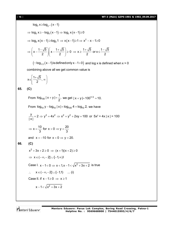# [ **16** ] **WT-3 (Main) GZPS-1901 & 1902\_09.09.2017**

$$
log_2 x \ge log_2 (x-1)
$$
  
\n⇒ log<sub>2</sub> x ≥ -log<sub>2</sub> (x-1) ⇒ log<sub>2</sub> x(x-1) ≥ 0  
\n⇒ log<sub>2</sub> x(x-1) ≥ log<sub>2</sub> 1 ⇒ x(x-1) ≥ 1 ⇒ x<sup>2</sup> - x-1 ≥ 0  
\n⇒  $\left(x - \frac{1-\sqrt{5}}{2}\right) \left(x - \frac{1+\sqrt{5}}{2}\right) ≥ 0 ⇒ x ≥ \frac{1+\sqrt{5}}{2} or x ≤ \frac{1-\sqrt{5}}{2}$   
\n(∴ log<sub>1/2</sub> (x-1) is defined only x-1>0) and log x is defined when x > 0  
\ncombining above all we get common value is  
\n $x ∈ \left[\frac{1+\sqrt{5}}{2}, ∞\right]$   
\n65. (C)  
\nFrom log<sub>100</sub> | x + y| =  $\frac{1}{2}$ , we get  $|x + y| = 100^{1/2} = 10$ .  
\nFrom log<sub>10</sub> y - log<sub>10</sub> | x| = log<sub>100</sub> 4 = log<sub>10</sub> 2, we have  
\n $\frac{y}{|x|} = 2 ⇒ y^2 = 4x^2 ⇒ x^2 + y^2 + 2xy = 100$  or  $5x^2 + 4x |x| = 100$   
\n⇒  $x = \frac{10}{3}$  for x > 0 ⇒ y =  $\frac{20}{3}$   
\nand x = -10 for x < 0 ⇒ y = 20.  
\n66. (C)  
\n $x^2 + 3x + 2 ≥ 0 ⇒ (x + 1)(x + 2) ≥ 0$   
\n⇒  $x ∈ (-∞, -2] ∪ [-1, ∞)]$   
\nCase I. x -1 < 0 ⇒ x < 1, x -1 < \sqrt{x^2 + 3x + 2} is true  
\n∴  $x ∈ (-∞, -2] ∪ [-1, 0)$   
\nCase II. if x -1 ≥ 0 ⇒ x ≥ 1  
\n $x - 1 < \sqrt{x^2 + 3x + 2}$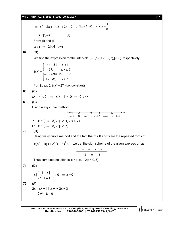$\Rightarrow$  x<sup>2</sup> - 2x + 1 < x<sup>2</sup> + 3x + 2  $\Rightarrow$  5x + 1 > 0  $\Rightarrow$  x > - $\frac{1}{5}$ 5  $\Rightarrow$  5x + 1 > 0  $\Rightarrow$  x > -- $\therefore$   $X \in [1, \infty)$  ... (ii) From (i) and (ii)  $x \in (-\infty, -2] \cup [-1, \infty)$ **67. (B)** We find the expression for the intervals  $(-\infty,1)$ , [1, 2), [2, 7), [7,  $\infty$ ) respectively.  $4x + 31$ ,  $x < 1$  $f(x) = \begin{cases} 27, & 1 \le x \le 2 \\ 27, & 22 \le x \le 2 \end{cases}$  $6x + 39$ ,  $2 < x < 7$  $4x - 31$ ,  $x \ge 7$  $\begin{cases} -4x + 31, & x < 7 \end{cases}$  $=\begin{cases} 27, & 1 \le x \le 2 \\ 6x + 30, & 3 \le x \le 2 \end{cases}$  $\begin{vmatrix} -6x + 39 & 2 < x < 1 \end{vmatrix}$  $\begin{cases} 4x - 31, & x \ge 7 \end{cases}$ For  $1 \le x \le 2$ ,  $f(x) = 27$  (i.e. constant) **68. (C)**  $x^2 - x < 0$   $\Rightarrow$   $x(x-1) < 0$   $\Rightarrow$   $0 < x < 1$ **69. (B)** Using wavy curve method : –ve –8 +ve –2 –ve 1 –ve 7 +ve –∞<del>← – 0 – – ● – – – – – – – –</del> ∞  $\therefore$   $x \in (-\infty, -8) \cup [-2, 1] \cup (1, 7)$ i.e.,  $x \in (-\infty, -8) \cup [-2, 7)$ **70. (D)** Using wavy curve method and the fact that  $x = 0$  and 3 are the repeated roots of x(e<sup>x</sup> –1) $(x+2)(x-3)^2 \le 0$  we get the sign scheme of the given expression as – + + + –2 0 3 Thus complete solution is  $x \in (-\infty, -2] \cup \{0, 3\}$ **71. (D)**  $|x| \left( \frac{1+|x|}{x^2 + |x|} \right) \le 0 \Rightarrow x = 0$  $x^2 + x + 1$  $\left(\frac{1+|x|}{x^2+x+1}\right) \le 0 \Rightarrow x=0$ **72. (A)**  $2x - x^2 + 11 \ge x^2 + 2x + 3$  $2x^2 - 8 < 0$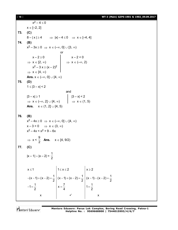# [ **18** ] **WT-3 (Main) GZPS-1901 & 1902\_09.09.2017**

$$
x^{2}-4\leq 0
$$
\nx ∈ [-2, 2]  
\n73. (C)  
\n8-|x|≥4 ⇒ |x|-4≤0 ⇒ x ∈ [-4, 4]  
\n74. (B)  
\nx<sup>2</sup>-3x≥0 ⇒ x ∈ (-∞, 0] ∪ [3, ∞)  
\nor  
\nx-2≥0  
\n⇒ x ∈ [2, ∞)  
\nx<sup>2</sup>-3x≥(x-2)<sup>2</sup>  
\n⇒ x ∈ [4, ∞)  
\nAns. x ∈ (-∞, 0] ∪ [4, ∞)  
\n75. (D)  
\n1≤|3-x|≤2  
\n⇒ x ∈ (-∞, 2] ∪ [4, ∞)  
\nAns. x ∈ (-∞, 2] ∪ [4, ∞)  
\nAns. x ∈ (1, 2] ∪ [4, 5)  
\nAns. x ∈ (1, 2] ∪ [4, 5)  
\n76. (B)  
\nx<sup>2</sup>-4x≥0 ⇒ x ∈ (-∞, 0] ∪ [4, ∞)  
\nx-3>0 ⇒ x ∈ (3, ∞)  
\nx<sup>2</sup>-4x< x<sup>2</sup>+9-6x  
\n⇒ x <  $\frac{9}{2}$  Ans. x ∈ [4, 9/2)  
\n77. (C)  
\n|x-1|-|x-2| =  $\frac{1}{2}$   
\nx ≤ 1  
\n-(x-1)+(x-2) =  $\frac{1}{2}$  | (x-1)+(x-2) =  $\frac{1}{2}$  | (x-1)-(x-2) =  $\frac{1}{2}$   
\n $-1=\frac{1}{2}$   
\nx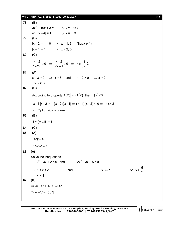## **WT-3 (Main) GZPS-1901 & 1902\_09.09.2017** [ **19** ]

**78. (B)**  $3x^2 - 10x + 3 = 0$   $\implies$  x =3, 1/3 or,  $|x - 4| = 1$   $\implies$   $x = 5, 3$ . **79. (B)**  $|x-2|-1=0$   $\Rightarrow$   $x = 1, 3$  (But  $x \ne 1$ )  $|x - 1| = 1$   $\implies$   $x = 2, 0$ **80. (C)**  $\frac{x-2}{x-2} \ge 0$   $\Rightarrow \frac{x-2}{x-2} \le 0$   $\Rightarrow x \in \left(\frac{1}{2}, 2\right)$  $\frac{x-2}{1-2x} \ge 0$   $\Rightarrow$   $\frac{x-2}{2x-1} \le 0$   $\Rightarrow$   $x \in \left(\frac{1}{2}, 2\right)$ **81. (A)**  $x-3>0$   $\Rightarrow$   $x>3$  and  $x-2>0$   $\Rightarrow$   $x>2$  $\Rightarrow$  x > 3 **82. (C)** According to property  $|f(x)| = -f(x)$ , then  $f(x) \le 0$  $|x-1| |x-2| = -(x-2)(x-1) \Rightarrow (x-1)(x-2) \le 0 \Rightarrow 1 \le x \le 2$  $\therefore$  Option (C) is correct. **83. (B)**  $B \cap (A \cup B) = B$ **84. (C) 85. (A)**  $(A')' = A$  $\therefore A \cap A = A$ **86. (A)** Solve the inequations  $x^2 - 3x + 2 \le 0$  and  $2x^2 - 3x - 5 \ge 0$  $\Rightarrow$  1  $\le$  x  $\le$  2 and x  $\le$  -1 or x  $\ge$ 5 2  $\therefore$   $X \in \phi$ **87. (B)**  $\Rightarrow$  2x - 3  $\in$  [-4, -3)  $\cup$  (3,4]  $2x \in [-1,0) \cup (6,7]$